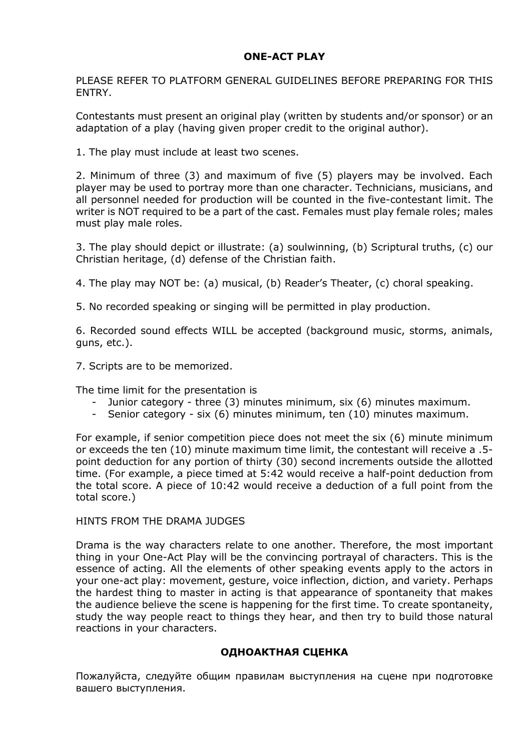## **ONE-ACT PLAY**

PLEASE REFER TO PLATFORM GENERAL GUIDELINES BEFORE PREPARING FOR THIS ENTRY.

Contestants must present an original play (written by students and/or sponsor) or an adaptation of a play (having given proper credit to the original author).

1. The play must include at least two scenes.

2. Minimum of three (3) and maximum of five (5) players may be involved. Each player may be used to portray more than one character. Technicians, musicians, and all personnel needed for production will be counted in the five-contestant limit. The writer is NOT required to be a part of the cast. Females must play female roles; males must play male roles.

3. The play should depict or illustrate: (a) soulwinning, (b) Scriptural truths, (c) our Christian heritage, (d) defense of the Christian faith.

4. The play may NOT be: (a) musical, (b) Reader's Theater, (c) choral speaking.

5. No recorded speaking or singing will be permitted in play production.

6. Recorded sound effects WILL be accepted (background music, storms, animals, guns, etc.).

7. Scripts are to be memorized.

The time limit for the presentation is

- Junior category three (3) minutes minimum, six (6) minutes maximum.
- Senior category six (6) minutes minimum, ten (10) minutes maximum.

For example, if senior competition piece does not meet the six (6) minute minimum or exceeds the ten (10) minute maximum time limit, the contestant will receive a .5 point deduction for any portion of thirty (30) second increments outside the allotted time. (For example, a piece timed at 5:42 would receive a half-point deduction from the total score. A piece of 10:42 would receive a deduction of a full point from the total score.)

## HINTS FROM THE DRAMA JUDGES

Drama is the way characters relate to one another. Therefore, the most important thing in your One-Act Play will be the convincing portrayal of characters. This is the essence of acting. All the elements of other speaking events apply to the actors in your one-act play: movement, gesture, voice inflection, diction, and variety. Perhaps the hardest thing to master in acting is that appearance of spontaneity that makes the audience believe the scene is happening for the first time. To create spontaneity, study the way people react to things they hear, and then try to build those natural reactions in your characters.

## **ОДНОАКТНАЯ СЦЕНКА**

Пожалуйста, следуйте общим правилам выступления на сцене при подготовке вашего выступления.